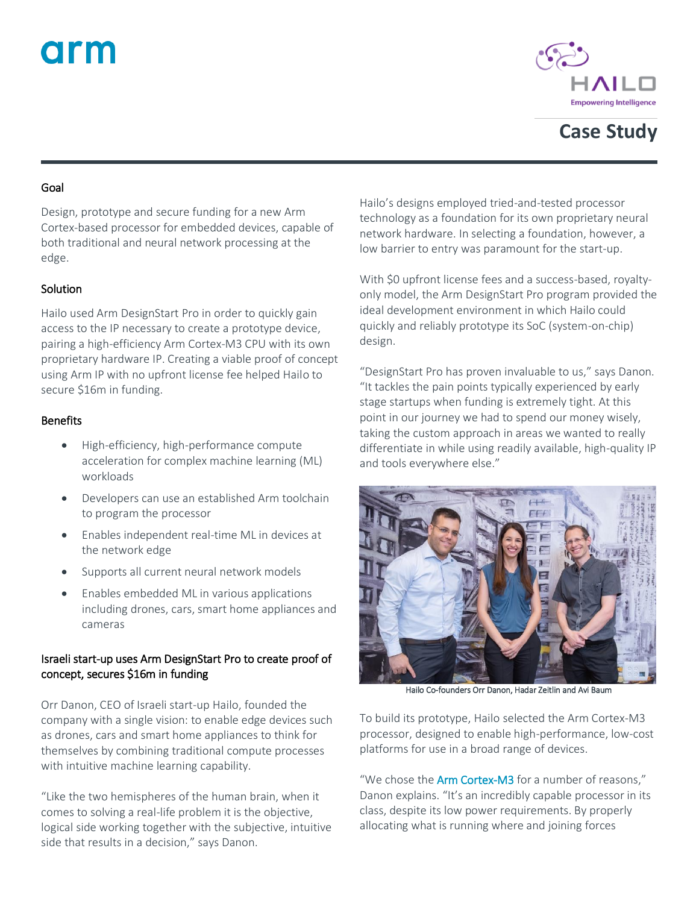# arm



# **Case Study**

#### Goal

Design, prototype and secure funding for a new Arm Cortex-based processor for embedded devices, capable of both traditional and neural network processing at the edge.

## **Solution**

Hailo used Arm DesignStart Pro in order to quickly gain access to the IP necessary to create a prototype device, pairing a high-efficiency Arm Cortex-M3 CPU with its own proprietary hardware IP. Creating a viable proof of concept using Arm IP with no upfront license fee helped Hailo to secure \$16m in funding.

#### Benefits

- High-efficiency, high-performance compute acceleration for complex machine learning (ML) workloads
- Developers can use an established Arm toolchain to program the processor
- Enables independent real-time ML in devices at the network edge
- Supports all current neural network models
- Enables embedded ML in various applications including drones, cars, smart home appliances and cameras

### Israeli start-up uses Arm DesignStart Proto create proof of concept, secures \$16m in funding

Orr Danon, CEO of Israeli start-up Hailo, founded the company with a single vision: to enable edge devices such as drones, cars and smart home appliances to think for themselves by combining traditional compute processes with intuitive machine learning capability.

"Like the two hemispheres of the human brain, when it comes to solving a real-life problem it is the objective, logical side working together with the subjective, intuitive side that results in a decision," says Danon.

Hailo's designs employed tried-and-tested processor technology as a foundation for its own proprietary neural network hardware. In selecting a foundation, however, a low barrier to entry was paramount for the start-up.

With \$0 upfront license fees and a success-based, royaltyonly model, the Arm DesignStart Pro program provided the ideal development environment in which Hailo could quickly and reliably prototype its SoC (system-on-chip) design.

"DesignStart Pro has proven invaluable to us," says Danon. "It tackles the pain points typically experienced by early stage startups when funding is extremely tight. At this point in our journey we had to spend our money wisely, taking the custom approach in areas we wanted to really differentiate in while using readily available, high-quality IP and tools everywhere else."



Hailo Co-founders Orr Danon, Hadar Zeitlin and Avi Baum

To build its prototype, Hailo selected the Arm Cortex-M3 processor, designed to enable high-performance, low-cost platforms for use in a broad range of devices.

"We chose the [Arm Cortex-M3](https://developer.arm.com/products/processors/cortex-m/cortex-m3) for a number of reasons," Danon explains. "It's an incredibly capable processor in its class, despite its low power requirements. By properly allocating what is running where and joining forces